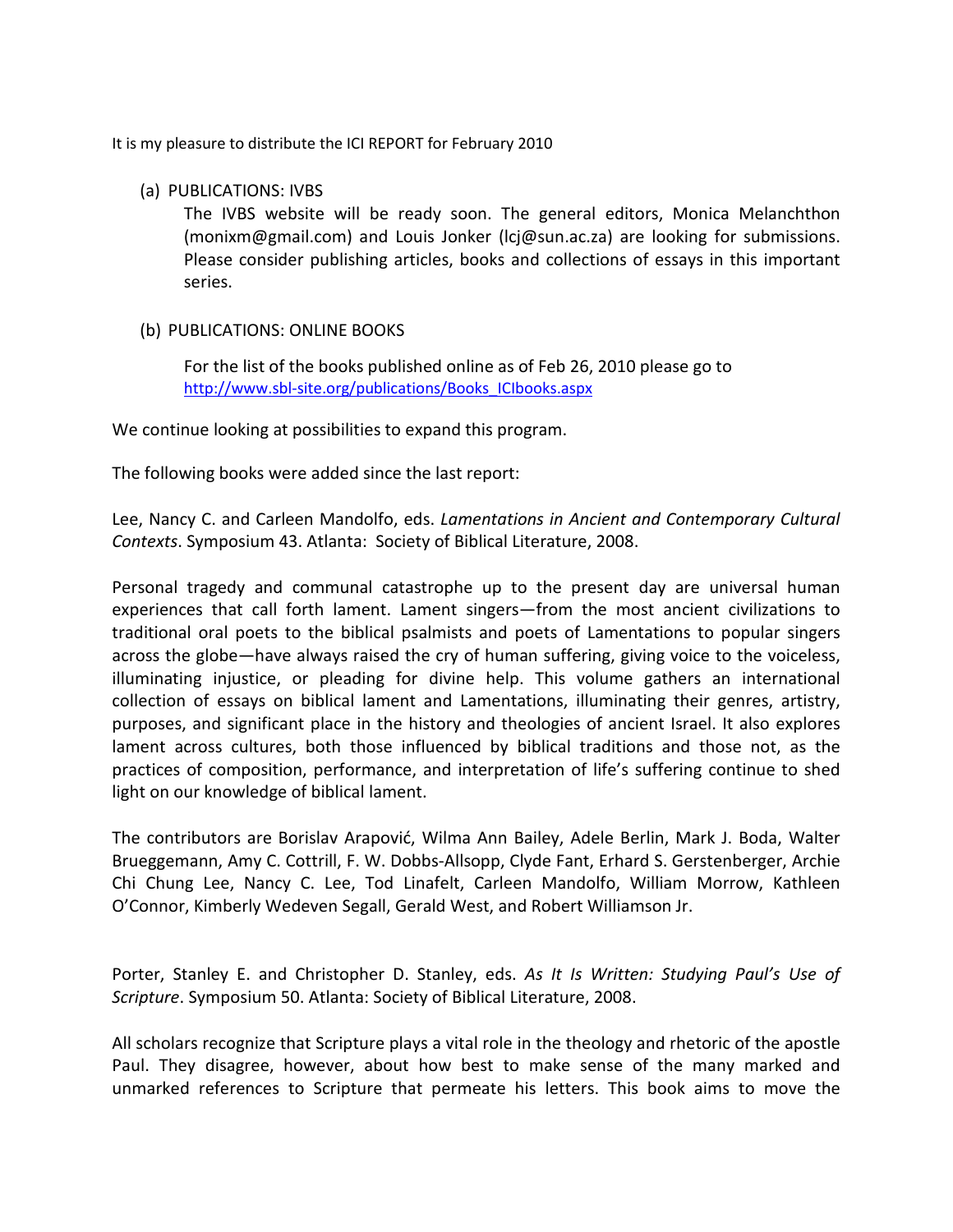It is my pleasure to distribute the ICI REPORT for February 2010

#### (a) PUBLICATIONS: IVBS

The IVBS website will be ready soon. The general editors, Monica Melanchthon (monixm@gmail.com) and Louis Jonker (lcj@sun.ac.za) are looking for submissions. Please consider publishing articles, books and collections of essays in this important series.

### (b) PUBLICATIONS: ONLINE BOOKS

For the list of the books published online as of Feb 26, 2010 please go to [http://www.sbl-site.org/publications/Books\\_ICIbooks.aspx](http://www.sbl-site.org/publications/Books_ICIbooks.aspx)

We continue looking at possibilities to expand this program.

The following books were added since the last report:

Lee, Nancy C. and Carleen Mandolfo, eds. *Lamentations in Ancient and Contemporary Cultural Contexts*. Symposium 43. Atlanta: Society of Biblical Literature, 2008.

Personal tragedy and communal catastrophe up to the present day are universal human experiences that call forth lament. Lament singers—from the most ancient civilizations to traditional oral poets to the biblical psalmists and poets of Lamentations to popular singers across the globe—have always raised the cry of human suffering, giving voice to the voiceless, illuminating injustice, or pleading for divine help. This volume gathers an international collection of essays on biblical lament and Lamentations, illuminating their genres, artistry, purposes, and significant place in the history and theologies of ancient Israel. It also explores lament across cultures, both those influenced by biblical traditions and those not, as the practices of composition, performance, and interpretation of life's suffering continue to shed light on our knowledge of biblical lament.

The contributors are Borislav Arapović, Wilma Ann Bailey, Adele Berlin, Mark J. Boda, Walter Brueggemann, Amy C. Cottrill, F. W. Dobbs-Allsopp, Clyde Fant, Erhard S. Gerstenberger, Archie Chi Chung Lee, Nancy C. Lee, Tod Linafelt, Carleen Mandolfo, William Morrow, Kathleen O'Connor, Kimberly Wedeven Segall, Gerald West, and Robert Williamson Jr.

Porter, Stanley E. and Christopher D. Stanley, eds. *As It Is Written: Studying Paul's Use of Scripture*. Symposium 50. Atlanta: Society of Biblical Literature, 2008.

All scholars recognize that Scripture plays a vital role in the theology and rhetoric of the apostle Paul. They disagree, however, about how best to make sense of the many marked and unmarked references to Scripture that permeate his letters. This book aims to move the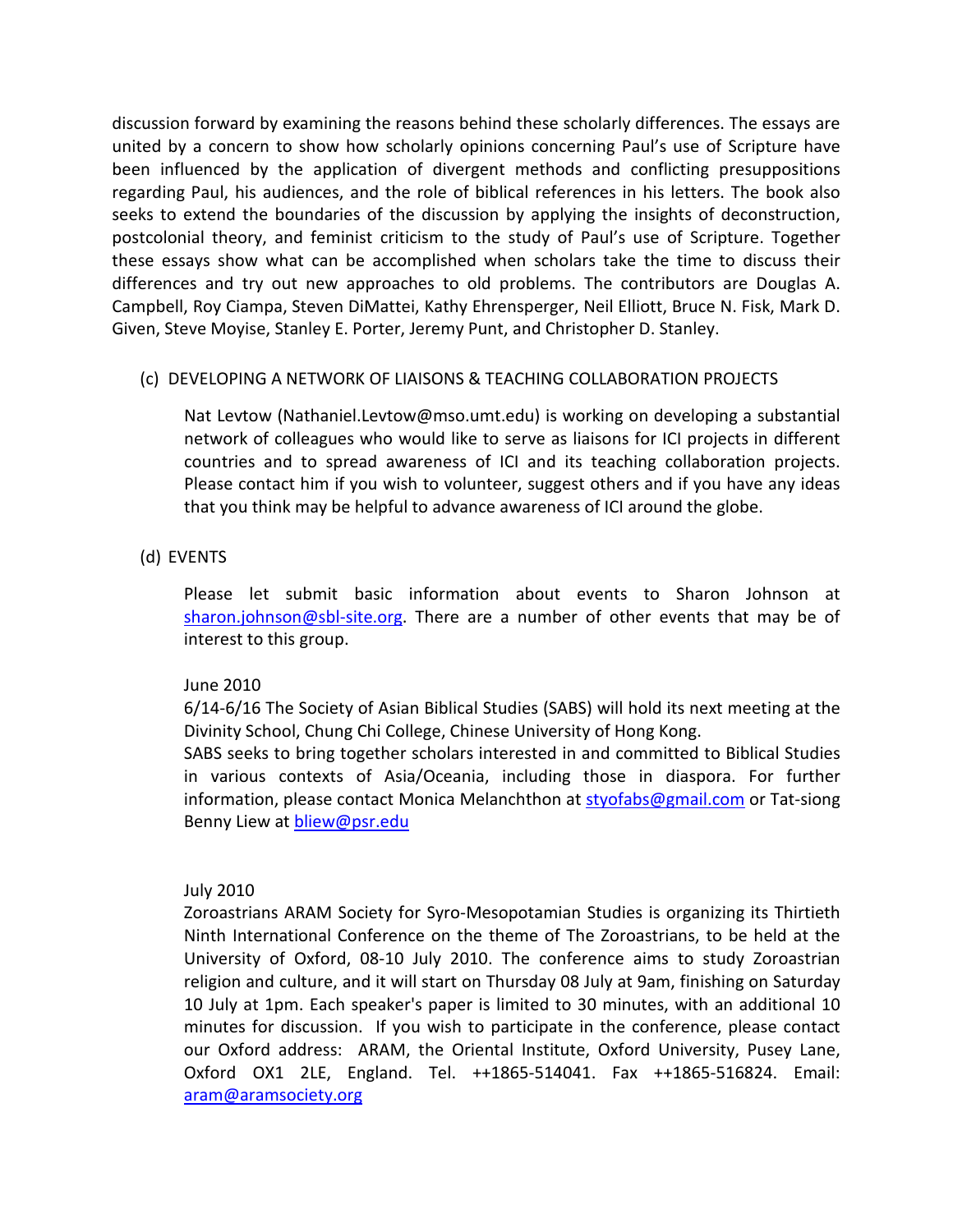discussion forward by examining the reasons behind these scholarly differences. The essays are united by a concern to show how scholarly opinions concerning Paul's use of Scripture have been influenced by the application of divergent methods and conflicting presuppositions regarding Paul, his audiences, and the role of biblical references in his letters. The book also seeks to extend the boundaries of the discussion by applying the insights of deconstruction, postcolonial theory, and feminist criticism to the study of Paul's use of Scripture. Together these essays show what can be accomplished when scholars take the time to discuss their differences and try out new approaches to old problems. The contributors are Douglas A. Campbell, Roy Ciampa, Steven DiMattei, Kathy Ehrensperger, Neil Elliott, Bruce N. Fisk, Mark D. Given, Steve Moyise, Stanley E. Porter, Jeremy Punt, and Christopher D. Stanley.

### (c) DEVELOPING A NETWORK OF LIAISONS & TEACHING COLLABORATION PROJECTS

Nat Levtow (Nathaniel.Levtow@mso.umt.edu) is working on developing a substantial network of colleagues who would like to serve as liaisons for ICI projects in different countries and to spread awareness of ICI and its teaching collaboration projects. Please contact him if you wish to volunteer, suggest others and if you have any ideas that you think may be helpful to advance awareness of ICI around the globe.

# (d) EVENTS

Please let submit basic information about events to Sharon Johnson at [sharon.johnson@sbl-site.org.](mailto:sharon.johnson@sbl-site.org) There are a number of other events that may be of interest to this group.

# June 2010

6/14-6/16 The Society of Asian Biblical Studies (SABS) will hold its next meeting at the Divinity School, Chung Chi College, Chinese University of Hong Kong.

SABS seeks to bring together scholars interested in and committed to Biblical Studies in various contexts of Asia/Oceania, including those in diaspora. For further information, please contact Monica Melanchthon at [styofabs@gmail.com](mailto:styofabs@gmail.com) or Tat-siong Benny Liew at [bliew@psr.edu](mailto:bliew@psr.edu)

### July 2010

Zoroastrians ARAM Society for Syro-Mesopotamian Studies is organizing its Thirtieth Ninth International Conference on the theme of The Zoroastrians, to be held at the University of Oxford, 08-10 July 2010. The conference aims to study Zoroastrian religion and culture, and it will start on Thursday 08 July at 9am, finishing on Saturday 10 July at 1pm. Each speaker's paper is limited to 30 minutes, with an additional 10 minutes for discussion. If you wish to participate in the conference, please contact our Oxford address: ARAM, the Oriental Institute, Oxford University, Pusey Lane, Oxford OX1 2LE, England. Tel. ++1865-514041. Fax ++1865-516824. Email: [aram@aramsociety.org](mailto:aram@aramsociety.org)